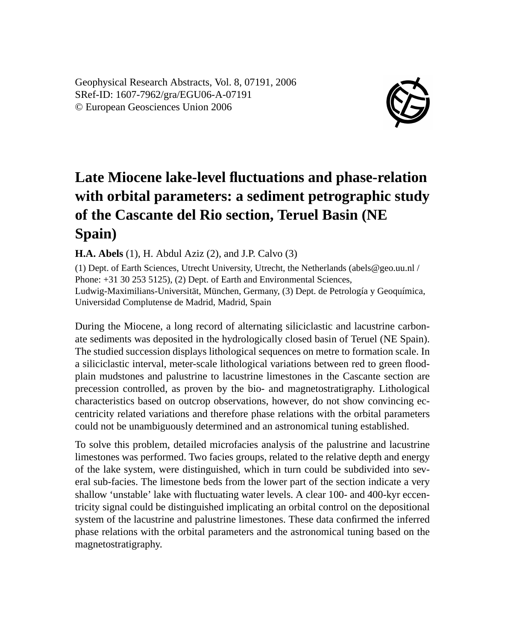Geophysical Research Abstracts, Vol. 8, 07191, 2006 SRef-ID: 1607-7962/gra/EGU06-A-07191 © European Geosciences Union 2006



## **Late Miocene lake-level fluctuations and phase-relation with orbital parameters: a sediment petrographic study of the Cascante del Rio section, Teruel Basin (NE Spain)**

**H.A. Abels** (1), H. Abdul Aziz (2), and J.P. Calvo (3)

(1) Dept. of Earth Sciences, Utrecht University, Utrecht, the Netherlands (abels@geo.uu.nl / Phone:  $+31$  30 253 5125), (2) Dept. of Earth and Environmental Sciences, Ludwig-Maximilians-Universität, München, Germany, (3) Dept. de Petrología y Geoquímica, Universidad Complutense de Madrid, Madrid, Spain

During the Miocene, a long record of alternating siliciclastic and lacustrine carbonate sediments was deposited in the hydrologically closed basin of Teruel (NE Spain). The studied succession displays lithological sequences on metre to formation scale. In a siliciclastic interval, meter-scale lithological variations between red to green floodplain mudstones and palustrine to lacustrine limestones in the Cascante section are precession controlled, as proven by the bio- and magnetostratigraphy. Lithological characteristics based on outcrop observations, however, do not show convincing eccentricity related variations and therefore phase relations with the orbital parameters could not be unambiguously determined and an astronomical tuning established.

To solve this problem, detailed microfacies analysis of the palustrine and lacustrine limestones was performed. Two facies groups, related to the relative depth and energy of the lake system, were distinguished, which in turn could be subdivided into several sub-facies. The limestone beds from the lower part of the section indicate a very shallow 'unstable' lake with fluctuating water levels. A clear 100- and 400-kyr eccentricity signal could be distinguished implicating an orbital control on the depositional system of the lacustrine and palustrine limestones. These data confirmed the inferred phase relations with the orbital parameters and the astronomical tuning based on the magnetostratigraphy.